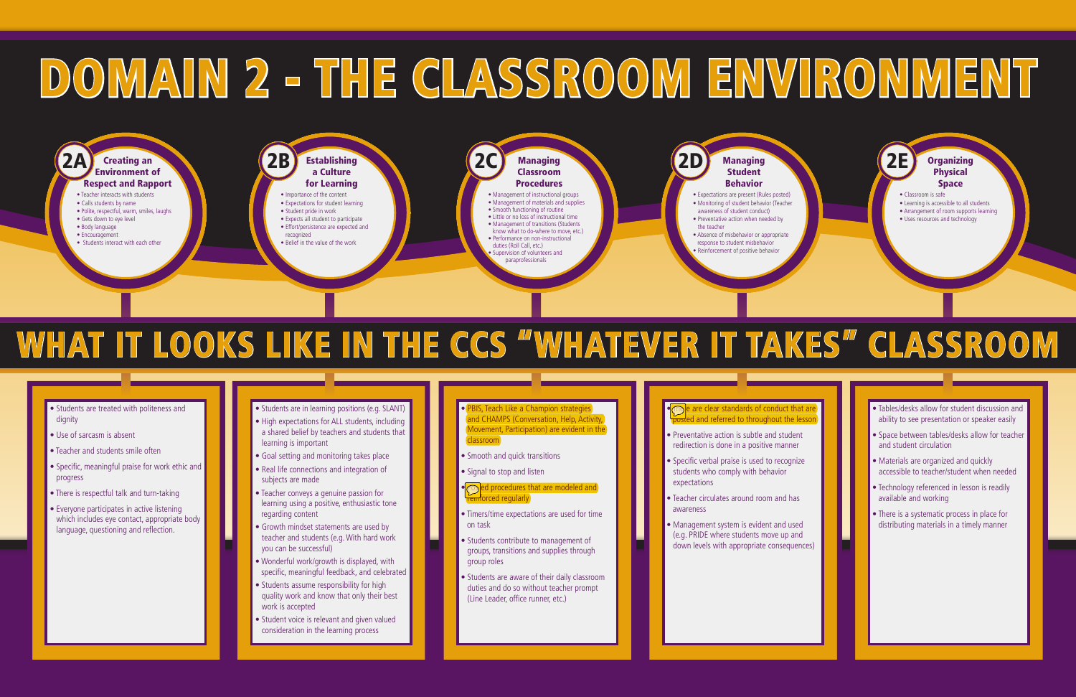- Students are in learning positions (e.g. SLANT)
- High expectations for ALL students, including a shared belief by teachers and students that
- learning is important
- Goal setting and monitoring takes place
- Real life connections and integration of subjects are made
- Teacher conveys a genuine passion for learning using a positive, enthusiastic tone regarding content
- Growth mindset statements are used by teacher and students (e.g. With hard work you can be successful)
- Wonderful work/growth is displayed, with specific, meaningful feedback, and celebrated
- Students assume responsibility for high quality work and know that only their best work is accepted
- Student voice is relevant and given valued consideration in the learning process
- PBIS, Teach Like a Champion strategies and CHAMPS (Conversation, Help, Activity Movement, Participation) are evident in the classroom
- Smooth and quick transitions
- Signal to stop and listen

#### • **Costable deprocedures that are modeled and** rced regularly

- Timers/time expectations are used for time on task
- Students contribute to management of groups, transitions and supplies through group roles
- Students are aware of their daily classroom duties and do so without teacher prompt (Line Leader, office runner, etc.)

#### **The are clear standards of conduct that are** Land referred to throughout the lesson

- Management of instructional groups • Management of materials and supplies
- Smooth functioning of routine • Little or no loss of instructional time
- Management of transitions (Students
- know what to do-where to move, etc.)
- Performance on non-instructional duties (Roll Call, etc.)

- Preventative action is subtle and student redirection is done in a positive manner
- Specific verbal praise is used to recognize students who comply with behavior expectations
- Teacher circulates around room and has awareness
- Management system is evident and used (e.g. PRIDE where students move up and down levels with appropriate consequences)

#### Supervision of volunteers and paraprofessionals

- Expectations are present (Rules posted) • Monitoring of student behavior (Teacher awareness of student conduct) • Preventative action when needed by
- the teacher
- Absence of misbehavior or appropriate response to student misbehavior
- Reinforcement of positive behavior

### 2A Creating an 2B Establishing (2B Establishing Classroom Classroom Classroom Classroom Classroom Classroom Classroom Classroom Classroom Classroom Classroom Classroom Classroom Classroom Classroom Classroom Classroom Clas Respect and Rapport

#### **Establishing** a Culture for Learning

#### Managing Classroom **Procedures**

#### **Organizing** Physical Space

- Tables/desks allow for student discussion and ability to see presentation or speaker easily
- Space between tables/desks allow for teacher and student circulation
- Materials are organized and quickly accessible to teacher/student when needed
- Technology referenced in lesson is readily available and working
- There is a systematic process in place for distributing materials in a timely manner

# DOMAIN 2 - THE CLASSROOM ENVIRONMENT

- Students are treated with politeness and dianity
- Use of sarcasm is absent
- Teacher and students smile often
- Specific, meaningful praise for work ethic and progress
- There is respectful talk and turn-taking
- Everyone participates in active listening which includes eye contact, appropriate body language, questioning and reflection.
- Teacher interacts with students
- Calls students by name • Polite, respectful, warm, smiles, laughs
- Gets down to eye level
- Body language
- Encouragement
- Students interact with each other
- Importance of the content
- Expectations for student learning • Student pride in work
- Expects all student to participate
- Effort/persistence are expected and
- recognized
- Belief in the value of the work
- Classroom is safe
- Learning is accessible to all students
- Arrangement of room supports learning
- Uses resources and technology

Managing **Student** Behavior

## WHAT IT LOOKS LIKE IN THE CCS "WHATEVER IT TAKES" CLASSROOM